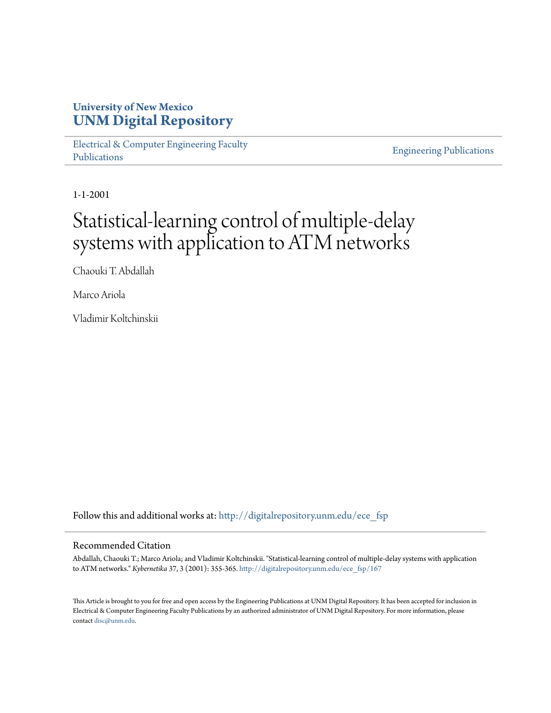# **University of New Mexico [UNM Digital Repository](http://digitalrepository.unm.edu?utm_source=digitalrepository.unm.edu%2Fece_fsp%2F167&utm_medium=PDF&utm_campaign=PDFCoverPages)**

[Electrical & Computer Engineering Faculty](http://digitalrepository.unm.edu/ece_fsp?utm_source=digitalrepository.unm.edu%2Fece_fsp%2F167&utm_medium=PDF&utm_campaign=PDFCoverPages) [Publications](http://digitalrepository.unm.edu/ece_fsp?utm_source=digitalrepository.unm.edu%2Fece_fsp%2F167&utm_medium=PDF&utm_campaign=PDFCoverPages)

[Engineering Publications](http://digitalrepository.unm.edu/eng_fsp?utm_source=digitalrepository.unm.edu%2Fece_fsp%2F167&utm_medium=PDF&utm_campaign=PDFCoverPages)

1-1-2001

# Statistical-learning control of multiple-delay systems with application to ATM networks

Chaouki T. Abdallah

Marco Ariola

Vladimir Koltchinskii

Follow this and additional works at: [http://digitalrepository.unm.edu/ece\\_fsp](http://digitalrepository.unm.edu/ece_fsp?utm_source=digitalrepository.unm.edu%2Fece_fsp%2F167&utm_medium=PDF&utm_campaign=PDFCoverPages)

# Recommended Citation

Abdallah, Chaouki T.; Marco Ariola; and Vladimir Koltchinskii. "Statistical-learning control of multiple-delay systems with application to ATM networks." *Kybernetika* 37, 3 (2001): 355-365. [http://digitalrepository.unm.edu/ece\\_fsp/167](http://digitalrepository.unm.edu/ece_fsp/167?utm_source=digitalrepository.unm.edu%2Fece_fsp%2F167&utm_medium=PDF&utm_campaign=PDFCoverPages)

This Article is brought to you for free and open access by the Engineering Publications at UNM Digital Repository. It has been accepted for inclusion in Electrical & Computer Engineering Faculty Publications by an authorized administrator of UNM Digital Repository. For more information, please contact [disc@unm.edu.](mailto:disc@unm.edu)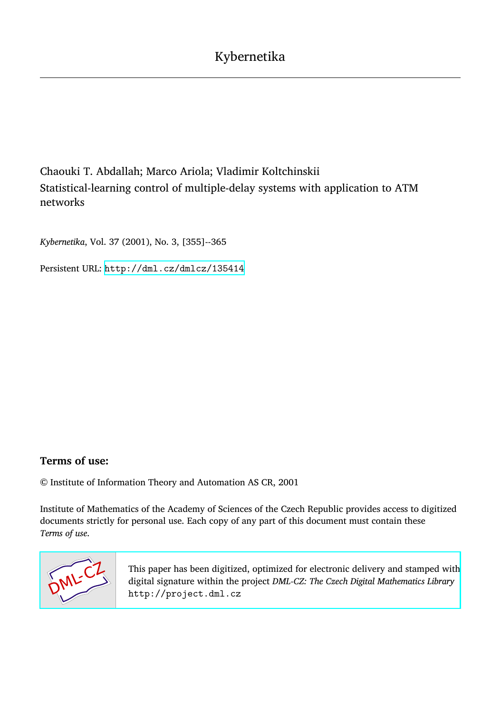# Chaouki T. Abdallah; Marco Ariola; Vladimir Koltchinskii Statistical-learning control of multiple-delay systems with application to ATM networks

*Kybernetika*, Vol. 37 (2001), No. 3, [355]--365

Persistent URL: <http://dml.cz/dmlcz/135414>

# **Terms of use:**

© Institute of Information Theory and Automation AS CR, 2001

Institute of Mathematics of the Academy of Sciences of the Czech Republic provides access to digitized documents strictly for personal use. Each copy of any part of this document must contain these *Terms of use*.



[This paper has been digitized, optimized for electronic delivery and stamped with](http://project.dml.cz) digital signature within the project *DML-CZ: The Czech Digital Mathematics Library* http://project.dml.cz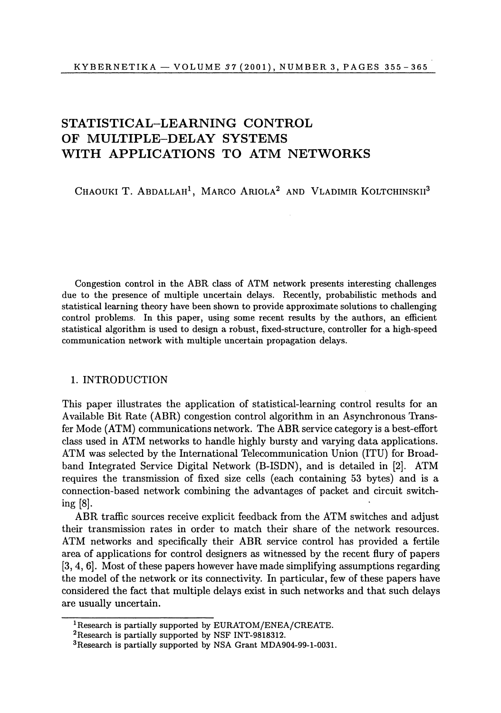# **STATISTICAL-LEARNING CONTROL OF MULTIPLE-DELAY SYSTEMS WITH APPLICATIONS TO ATM NETWORKS**

Chaouki T. Abdallah<sup>1</sup>, Marco Ariola<sup>2</sup> and Vladimir Koltchinskii<sup>3</sup>

Congestion control in the ABR class of ATM network presents interesting challenges due to the presence of multiple uncertain delays*.* Recently, probabilistic methods and statistical learning theory have been shown to provide approximate solutions to challenging control problems*.* In this paper, using some recent results by the authors, an efficient statistical algorithm is used to design a robust, fixed-structure, controller for a high-speed communication network with multiple uncertain propagation delays*.* 

## 1. INTRODUCTION

This paper illustrates the application of statistical-learning control results for an Available Bit Rate (ABR) congestion control algorithm in an Asynchronous Transfer Mode (ATM) communications network. The ABR service category is a best-effort class used in ATM networks to handle highly bursty and varying data applications. ATM was selected by the International Telecommunication Union (ITU) for Broadband Integrated Service Digital Network (B-ISDN), and is detailed in [2]. ATM requires the transmission of fixed size cells (each containing 53 bytes) and is a connection-based network combining the advantages of packet and circuit switching [8].

ABR traffic sources receive explicit feedback from the ATM switches and adjust their transmission rates in order to match their share of the network resources. ATM networks and specifically their ABR service control has provided a fertile area of applications for control designers as witnessed by the recent flury of papers [3, 4, 6]. Most of these papers however have made simplifying assumptions regarding the model of the network or its connectivity. In particular, few of these papers have considered the fact that multiple delays exist in such networks and that such delays are usually uncertain.

<sup>&</sup>lt;sup>1</sup>Research is partially supported by EURATOM/ENEA/CREATE.

<sup>2</sup>Research is partially supported by NSF INT-9818312.

<sup>3</sup>Research is partially supported by NSA Grant MDA904-99-1-0031.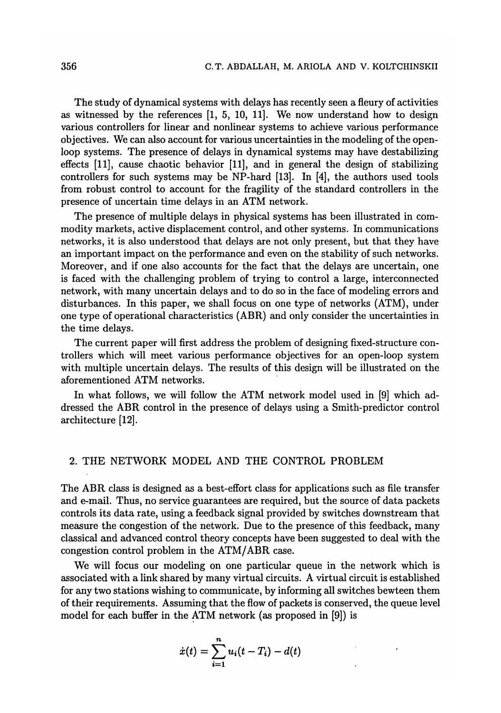The study of dynamical systems with delays has recently seen a fleury of activities as witnessed by the references [1, 5, 10, 11]. We now understand how to design various controllers for linear and nonlinear systems to achieve various performance objectives. We can also account for various uncertainties in the modeling of the openloop systems. The presence of delays in dynamical systems may have destabilizing effects [11], cause chaotic behavior [11], and in general the design of stabilizing controllers for such systems may be NP-hard [13]. In [4], the authors used tools from robust control to account for the fragility of the standard controllers in the presence of uncertain time delays in an ATM network.

The presence of multiple delays in physical systems has been illustrated in commodity markets, active displacement control, and other systems. In communications networks, it is also understood that delays are not only present, but that they have an important impact on the performance and even on the stability of such networks. Moreover, and if one also accounts for the fact that the delays are uncertain, one is faced with the challenging problem of trying to control a large, interconnected network, with many uncertain delays and to do so in the face of modeling errors and disturbances. In this paper, we shall focus on one type of networks (ATM), under one type of operational characteristics (ABR) and only consider the uncertainties in the time delays.

The current paper will first address the problem of designing fixed-structure controllers which will meet various performance objectives for an open-loop system with multiple uncertain delays. The results of this design will be illustrated on the aforementioned ATM networks.

In what follows, we will follow the ATM network model used in [9] which addressed the ABR control in the presence of delays using a Smith-predictor control architecture [12].

# 2. THE NETWORK MODEL AND THE CONTROL PROBLEM

The ABR class is designed as a best-effort class for applications such as file transfer and e-mail. Thus, no service guarantees are required, but the source of data packets controls its data rate, using a feedback signal provided by switches downstream that measure the congestion of the network. Due to the presence of this feedback, many classical and advanced control theory concepts have been suggested to deal with the congestion control problem in the ATM/ABR case.

We will focus our modeling on one particular queue in the network which is associated with a link shared by many virtual circuits. A virtual circuit is established for any two stations wishing to communicate, by informing all switches bewteen them of their requirements. Assuming that the flow of packets is conserved, the queue level model for each buffer in the ATM network (as proposed in [9]) is

$$
\dot{x}(t) = \sum_{i=1}^{n} u_i(t - T_i) - d(t)
$$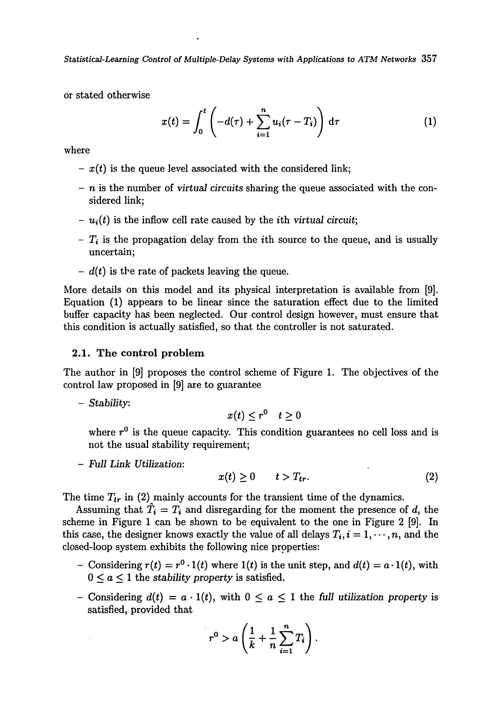*Statistical-Learning Control of Multiple-Delay Systems with Applications to ATM Networks* **357** 

or stated otherwise

$$
x(t) = \int_0^t \left(-d(\tau) + \sum_{i=1}^n u_i(\tau - T_i)\right) d\tau
$$
 (1)

where

- $x(t)$  is the queue level associated with the considered link;
- - *n* is the number of virtuaJ *circuits* sharing the queue associated with the considered link;
- $u_i(t)$  is the inflow cell rate caused by the *i*th virtual circuit;
- *T{* is the propagation delay from the ith source to the queue, and is usually uncertain;
- - *d(t)* is the rate of packets leaving the queue.

More details on this model and its physical interpretation is available from [9]. Equation (1) appears to be linear since the saturation effect due to the limited buffer capacity has been neglected. Our control design however, must ensure that this condition is actually satisfied, so that the controller is not saturated.

## 2.1. The control problem

The author in [9] proposes the control scheme of Figure 1. The objectives of the control law proposed in [9] are to guarantee

- *Stability:* 

$$
x(t) \leq r^0 \quad t \geq 0
$$

where  $r^0$  is the queue capacity. This condition guarantees no cell loss and is not the usual stability requirement;

- *Full Link Utilization:* 

$$
x(t) \geq 0 \qquad t > T_{tr}.\tag{2}
$$

The time  $T_{tr}$  in (2) mainly accounts for the transient time of the dynamics.

Assuming that  $\hat{T}_i = T_i$  and disregarding for the moment the presence of d, the scheme in Figure 1 can be shown to be equivalent to the one in Figure 2 [9]. In this case, the designer knows exactly the value of all delays  $T_i$ ,  $i = 1, \dots, n$ , and the closed-loop system exhibits the following nice properties:

- Considering  $r(t) = r^0 \cdot 1(t)$  where  $1(t)$  is the unit step, and  $d(t) = a \cdot 1(t)$ , with  $0 \leq a \leq 1$  the *stability property* is satisfied.
- Considering  $d(t) = a \cdot 1(t)$ , with  $0 \le a \le 1$  the full utilization property is satisfied, provided that

$$
r^0 > a\left(\frac{1}{k} + \frac{1}{n}\sum_{i=1}^n T_i\right).
$$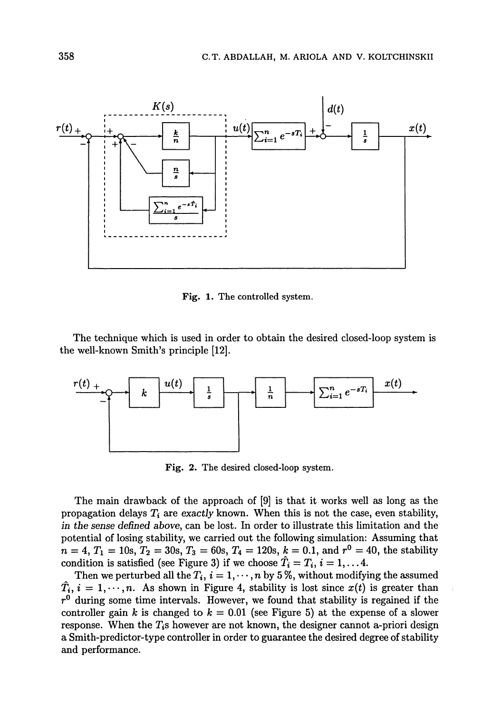

Fig. 1. The controlled system.

The technique which is used in order to obtain the desired closed-loop system is the well-known Smith's principle [12].



Fig. 2. The desired closed-loop system.

The main drawback of the approach of [9] is that it works well as long as the propagation delays  $T_i$  are exactly known. When this is not the case, even stability, in the sense defined above, can be lost. In order to illustrate this limitation and the potential of losing stability, we carried out the following simulation: Assuming that  $n = 4, T_1 = 10s, T_2 = 30s, T_3 = 60s, T_4 = 120s, k = 0.1$ , and  $r^0 = 40$ , the stability condition is satisfied (see Figure 3) if we choose  $\hat{T}_i = T_i$ ,  $i = 1, \ldots 4$ .

Then we perturbed all the  $T_i$ ,  $i = 1, \dots, n$  by 5%, without modifying the assumed  $\hat{T}_i$ ,  $i = 1, \dots, n$ . As shown in Figure 4, stability is lost since  $x(t)$  is greater than  $r<sup>0</sup>$  during some time intervals. However, we found that stability is regained if the controller gain k is changed to  $k = 0.01$  (see Figure 5) at the expense of a slower response. When the  $T_i$ s however are not known, the designer cannot a-priori design a Smith-predictor-type controller in order to guarantee the desired degree of stability and performance.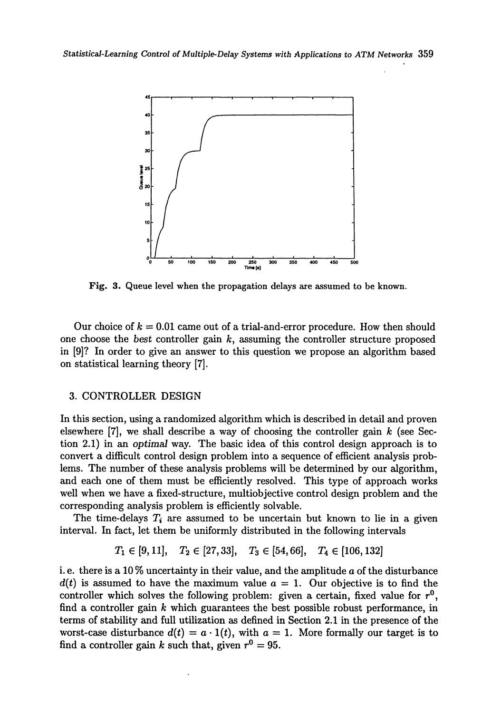

**Fig. 3. Queue level when the pr**o**pagati**o**n delays are assumed t**o **be kn**o**wn.** 

Our choice of  $k = 0.01$  came out of a trial-and-error procedure. How then should one choose the *best* controller gain  $k$ , assuming the controller structure proposed **in [9]? In order to give an answer to this question we propose an algorithm** b**ased on statistical learning theory [7].** 

#### **3. CONTRO**LL**ER DESIGN**

**In this section, using a randomized algorithm which is descri**b**ed in detail and proven elsewhere [7], we shall descri**b**e a way of choosing the controller gain** *k* **(see Section 2.1) in an** *optimal* **way. The** b**asic idea of this control design approach is to convert a difficult control design pro**b**lem into a sequence of efficient analysis pro**b**lems. The num**b**er of these analysis pro**b**lems will** b**e determined** b**y our algorithm, and each one of them must** b**e efficiently resolved. This type of approach wor**k**s well when we have a fixed-structure, multio**b**jective control design pro**b**lem and the corresponding analysis pro**b**lem is efficiently solva**b**le.** 

**The time-delays** *T{* **are assumed to** b**e uncertain** b**ut** k**nown to lie in a given interval. In fact, let them** b**e uniformly distri**b**uted in the following intervals** 

$$
T_1 \in [9, 11], \quad T_2 \in [27, 33], \quad T_3 \in [54, 66], \quad T_4 \in [106, 132]
$$

**i. e. there is a 10 % uncertainty in their value, and the amplitude a of the distur**b**ance**   $d(t)$  is assumed to have the maximum value  $a = 1$ . Our objective is to find the controller which solves the following problem: given a certain, fixed value for  $r^0$ , **find a controller gain** *k* **which guarantees the** b**est possi**b**le ro**b**ust performance, in terms of sta**b**ility and full utilization as defined in Section 2.1 in the presence of the**  worst-case disturbance  $d(t) = a \cdot 1(t)$ , with  $a = 1$ . More formally our target is to find a controller gain *k* such that, given  $r^0 = 95$ .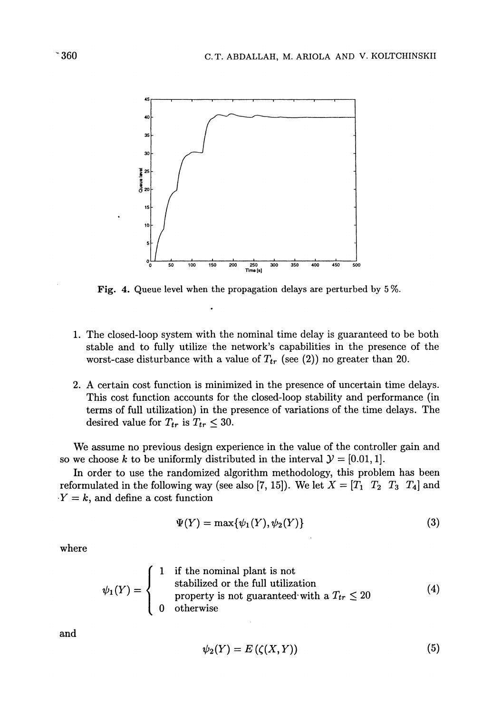

Fig. 4. Queue level when the propagation delays are perturbed by 5%.

- 1. The closed-loop system with the nominal time delay is guaranteed to be both stable and to fully utilize the network's capabilities in the presence of the worst-case disturbance with a value of  $T_{tr}$  (see (2)) no greater than 20.
- 2. A certain cost function is minimized in the presence of uncertain time delays. This cost function accounts for the closed-loop stability and performance (in terms of full utilization) in the presence of variations of the time delays. The desired value for  $T_{tr}$  is  $T_{tr} \leq 30$ .

We assume no previous design experience in the value of the controller gain and so we choose k to be uniformly distributed in the interval  $\mathcal{Y} = [0.01, 1]$ .

In order to use the randomized algorithm methodology, this problem has been reformulated in the following way (see also [7, 15]). We let  $X = [T_1 \ T_2 \ T_3 \ T_4]$  and  $Y = k$ , and define a cost function

$$
\Psi(Y) = \max{\{\psi_1(Y), \psi_2(Y)\}}
$$
\n(3)

where

$$
\psi_1(Y) = \begin{cases}\n1 & \text{if the nominal plant is not} \\
& \text{stabilized or the full utilization} \\
& \text{property is not guaranteed with a } T_{tr} \leq 20 \\
& 0 & \text{otherwise}\n\end{cases}
$$
\n(4)

and

$$
\psi_2(Y) = E\left(\zeta(X, Y)\right) \tag{5}
$$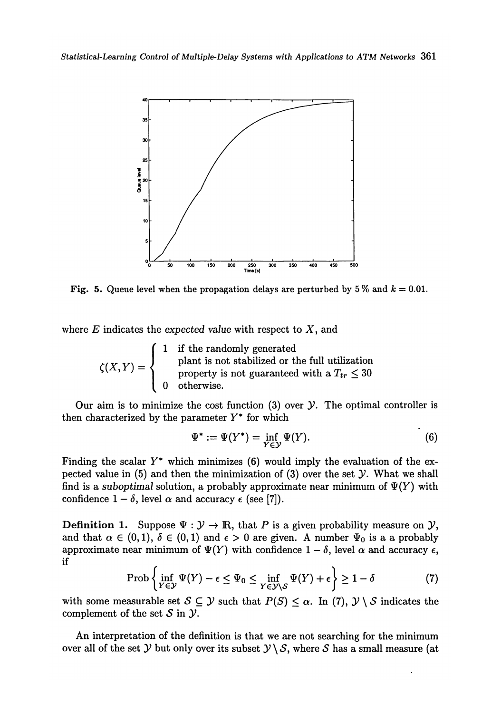

**Fig. 5.** Queue level when the propagation delays are perturbed by 5 % and  $k = 0.01$ .

where *E* indicates the *expected value* with respect to X, and

$$
\zeta(X,Y) = \begin{cases}\n1 & \text{if the randomly generated} \\
& \text{plant is not stabilized or the full utilization} \\
& \text{property is not guaranteed with a } T_{tr} \leq 30 \\
& 0 & \text{otherwise.} \n\end{cases}
$$

Our aim is to minimize the cost function (3) over *y.* The optimal controller is then characterized by the parameter *Y\** for which

$$
\Psi^* := \Psi(Y^*) = \inf_{Y \in \mathcal{Y}} \Psi(Y). \tag{6}
$$

Finding the scalar *Y\** which minimizes (6) would imply the evaluation of the expected value in  $(5)$  and then the minimization of  $(3)$  over the set  $\mathcal Y$ . What we shall find is a *suboptimal* solution, a probably approximate near minimum of  $\Psi(Y)$  with confidence  $1 - \delta$ , level  $\alpha$  and accuracy  $\epsilon$  (see [7]).

**Definition 1.** Suppose  $\Psi : \mathcal{Y} \to \mathbb{R}$ , that P is a given probability measure on  $\mathcal{Y}$ , and that  $\alpha \in (0,1)$ ,  $\delta \in (0,1)$  and  $\epsilon > 0$  are given. A number  $\Psi_0$  is a a probably approximate near minimum of  $\Psi(Y)$  with confidence  $1 - \delta$ , level  $\alpha$  and accuracy  $\epsilon$ , if

$$
\text{Prob}\left\{\inf_{Y\in\mathcal{Y}}\Psi(Y)-\epsilon\leq\Psi_0\leq\inf_{Y\in\mathcal{Y}\setminus\mathcal{S}}\Psi(Y)+\epsilon\right\}\geq 1-\delta\tag{7}
$$

with some measurable set  $S \subseteq \mathcal{Y}$  such that  $P(S) \leq \alpha$ . In (7),  $\mathcal{Y} \setminus S$  indicates the complement of the set *S* in *y.* 

An interpretation of the definition is that we are not searching for the minimum over all of the set *y* but only over its subset  $y \setminus S$ , where *S* has a small measure (at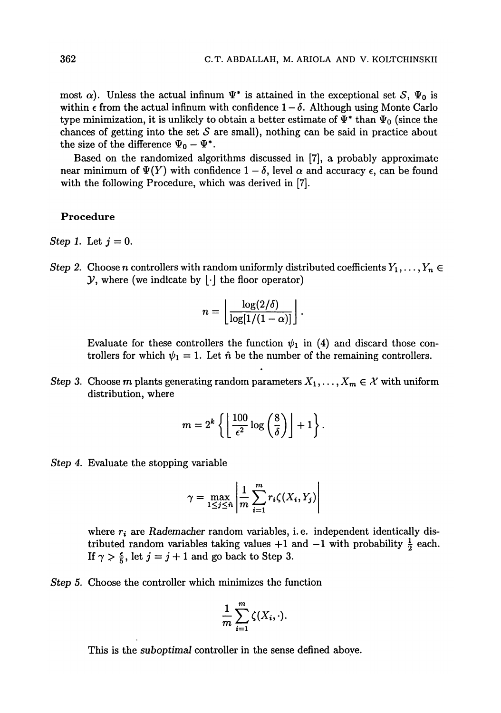most  $\alpha$ ). Unless the actual infinum  $\Psi^*$  is attained in the exceptional set S,  $\Psi_0$  is within  $\epsilon$  from the actual infinum with confidence  $1-\delta$ . Although using Monte Carlo type minimization, it is unlikely to obtain a better estimate of  $\Psi^*$  than  $\Psi_0$  (since the chances of getting into the set *S* are small), nothing can be said in practice about the size of the difference  $\Psi_0 - \Psi^*$ .

Based on the randomized algorithms discussed in [7], a probably approximate near minimum of  $\Psi(Y)$  with confidence  $1-\delta$ , level  $\alpha$  and accuracy  $\epsilon$ , can be found with the following Procedure, which was derived in [7].

#### **Procedure**

- *Step 1.* Let  $j = 0$ .
- *Step 2.* Choose *n* controllers with random uniformly distributed coefficients  $Y_1, \ldots, Y_n \in$  $\mathcal{Y}$ , where (we indicate by  $\lfloor \cdot \rfloor$  the floor operator)

$$
n = \left\lfloor \frac{\log(2/\delta)}{\log[1/(1-\alpha)]} \right\rfloor.
$$

Evaluate for these controllers the function  $\psi_1$  in (4) and discard those controllers for which  $\psi_1 = 1$ . Let  $\hat{n}$  be the number of the remaining controllers.

*Step 3.* Choose *m* plants generating random parameters  $X_1, \ldots, X_m \in \mathcal{X}$  with uniform distribution, where

$$
m = 2^{k} \left\{ \left\lfloor \frac{100}{\epsilon^2} \log \left( \frac{8}{\delta} \right) \right\rfloor + 1 \right\}.
$$

*Step 4.* Evaluate the stopping variable

$$
\gamma = \max_{1 \leq j \leq n} \left| \frac{1}{m} \sum_{i=1}^{m} r_i \zeta(X_i, Y_j) \right|
$$

where  $r_i$  are *Rademacher* random variables, i.e. independent identically distributed random variables taking values  $+1$  and  $-1$  with probability  $\frac{1}{2}$  each. If  $\gamma > \frac{\epsilon}{5}$ , let  $j = j + 1$  and go back to Step 3.

*Step 5.* Choose the controller which minimizes the function

$$
\frac{1}{m}\sum_{i=1}^m \zeta(X_i,\cdot).
$$

This is the *suboptimal* controller in the sense defined above.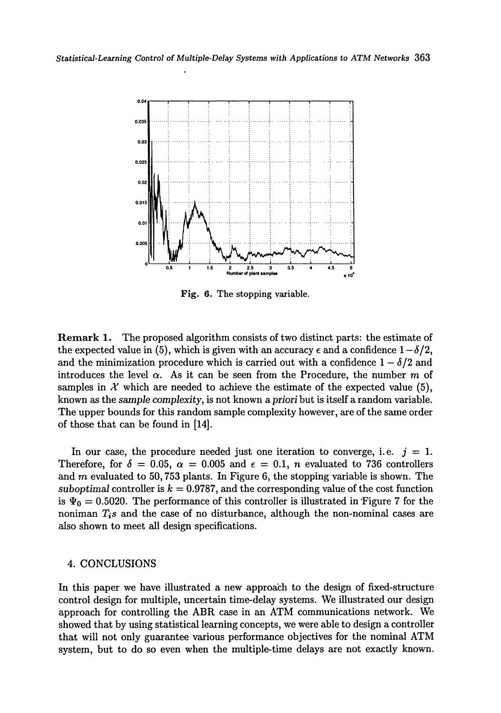

**Fig. 6. The st**oppi**ng variable***.* 

**Remar**k **1.** The proposed algorithm consists of two distinct parts: the estimate of the expected value in (5), which is given with an accuracy  $\epsilon$  and a confidence  $1-\delta/2$ , and the minimization procedure which is carried out with a confidence  $1 - \delta/2$  and introduces the level  $\alpha$ . As it can be seen from the Procedure, the number  $m$  of samples in  $\mathcal X$  which are needed to achieve the estimate of the expected value (5), known as the *sample complexity,* is not known *a priori* but is itself a random variable. The upper bounds for this random sample complexity however, are of the same order of those that can be found in [14].

In our case, the procedure needed just one iteration to converge, i.e.  $j = 1$ . Therefore, for  $\delta = 0.05$ ,  $\alpha = 0.005$  and  $\epsilon = 0.1$ , *n* evaluated to 736 controllers and *m* evaluated to 50,753 plants. In Figure 6, the stopping variable is shown. The *suboptimal* controller is  $k = 0.9787$ , and the corresponding value of the cost function is  $\Psi_0 = 0.5020$ . The performance of this controller is illustrated in Figure 7 for the noniman *TiS* and the case of no disturbance, although the non-nominal cases are also shown to meet all design specifications.

### 4. CONCLUSIONS

In this paper we have illustrated a new approach to the design of fixed-structure control design for multiple, uncertain time-delay systems. We illustrated our design approach for controlling the ABR case in an ATM communications network. We showed that by using statistical learning concepts, we were able to design a controller that will not only guarantee various performance objectives for the nominal ATM system, but to do so even when the multiple-time delays are not exactly known.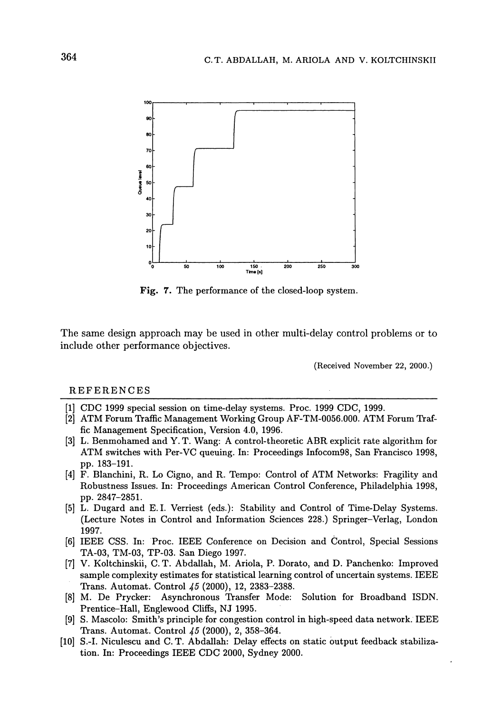

**Fig.** 7. The performance of the closed-loop system.

The same design approach may be used in other multi-delay control problems or to include other performance objectives.

(Received November 22, 2000.)

#### REFERENCES

- [1] CDC 1999 special session on time-delay systems*.* Proc*.* 1999 CDC, 1999*.*
- [2] ATM Forum Traffic Management Working Group AF-TM-0056*.*000*.* ATM Forum Traffic Management Specification, Version 4*.*0, 1996*.*
- [3] L. Benmohamed and Y. T. Wang: A control-theoretic ABR explicit rate algorithm for ATM switches with Per-VC queuing. In: Proceedings Infocom98, San Francisco 1998, pp. 183-191.
- [4] F. Blanchini, R. Lo Cigno, and R. Tempo: Control of ATM Networks: Fragility and Robustness Issues. In: Proceedings American Control Conference, Philadelphia 1998, pp. 2847-2851.
- [5] L. Dugard and E.I. Verriest (eds.): Stability and Control of Time-Delay Systems. (Lecture Notes in Control and Information Sciences 228.) Springer-Verlag, London 1997.
- [6] IEEE CSS. In: Proc. IEEE Conference on Decision and Control, Special Sessions TA-03, TM-03, TP-03. San Diego 1997.
- V. Koltchinskii, C. T. Abdallah, M. Ariola, P. Dorato, and D. Panchenko: Improved [7] sample complexity estimates for statistical learning control of uncertain systems. IEEE Trans. Automat. Control *45* (2000), 12, 2383-2388.
- [8] M. De Prycker: Asynchronous Transfer Mode: Solution for Broadband ISDN. Prentice-Hall, Englewood Cliffs, NJ 1995.
- [9] S. Mascolo: Smith's principle for congestion control in high-speed data network. IEEE Trans. Automat. Control *45* (2000), 2, 358-364.
- [10] S.-I. Niculescu and C. T. Abdallah: Delay effects on static output feedback stabilization. In: Proceedings IEEE CDC 2000, Sydney 2000.